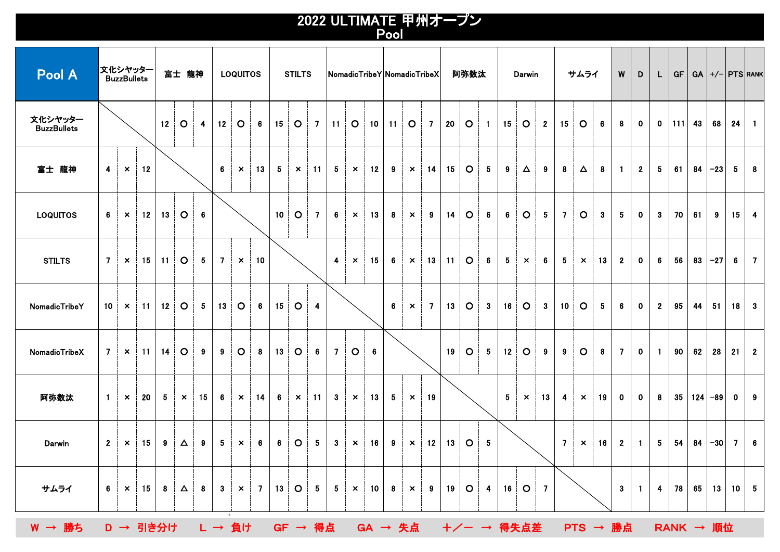## 2022 ULTIMATE 甲州オープン Pool

| Pool A                        |                 | 文化シヤッター<br><b>BuzzBullets</b> |    |    | 富士 龍神                     |    |                | <b>LOQUITOS</b>           |                |    | <b>STILTS</b>             |                |                |                           | NomadicTribeY NomadicTribeX |    |                           |                |                 | 阿弥数汰    |                 |                 | Darwin                                              |              |                 | サムライ                      |             | W              | D            | L              | <b>GF</b>        |    | $GA$ +/- $PTS$ RANK |              |                         |
|-------------------------------|-----------------|-------------------------------|----|----|---------------------------|----|----------------|---------------------------|----------------|----|---------------------------|----------------|----------------|---------------------------|-----------------------------|----|---------------------------|----------------|-----------------|---------|-----------------|-----------------|-----------------------------------------------------|--------------|-----------------|---------------------------|-------------|----------------|--------------|----------------|------------------|----|---------------------|--------------|-------------------------|
| 文化シヤッター<br><b>BuzzBullets</b> |                 |                               |    | 12 | $\circ$                   | 4  | 12             | $\circ$                   | 6              | 15 | $\circ$                   | $\overline{7}$ | 11             | $\circ$                   | 10                          | 11 | $\circ$                   | $\overline{7}$ | 20              | $\circ$ | $\blacksquare$  | 15              | $\circ$                                             | $\mathbf{2}$ | 15              | $\circ$                   | 6.          | 8              | $\mathbf 0$  | $\mathbf 0$    | 111              | 43 | 68                  | 24           | $\blacksquare$          |
| 富士 龍神                         | 4               | $\boldsymbol{\mathsf{x}}$     | 12 |    |                           |    | 6              | $\boldsymbol{\mathsf{x}}$ | 13             | 5  | $\boldsymbol{\mathsf{x}}$ | 11             | 5              | $\boldsymbol{\mathsf{x}}$ | 12                          | 9  | $\boldsymbol{\mathsf{x}}$ | 14             | 15              | $\circ$ | $5\phantom{.0}$ | 9               | Δ                                                   | 9            | 8               | Δ                         | 8           | $\blacksquare$ | $\mathbf{2}$ | 5              | 61               | 84 | $-23$               | 5            | $\bf{8}$                |
| <b>LOQUITOS</b>               | 6               | $\boldsymbol{\mathsf{x}}$     | 12 | 13 | $\circ$                   | 6  |                |                           |                | 10 | $\circ$                   | 7              | 6              | $\boldsymbol{\mathsf{x}}$ | 13                          | 8  | $\boldsymbol{\mathsf{x}}$ | 9              | $\overline{14}$ | $\circ$ | 6               | 6               | $\circ$                                             | 5            | $\overline{7}$  | $\circ$                   | $3^{\circ}$ | 5              | $\mathbf{0}$ | $\mathbf{3}$   | 70               | 61 | 9                   | 15           | $\overline{\mathbf{4}}$ |
| <b>STILTS</b>                 | 7 <sup>7</sup>  | $\boldsymbol{\mathsf{x}}$     | 15 | 11 | $\circ$                   | 5  | $\overline{7}$ | $\boldsymbol{\mathsf{x}}$ | 10             |    |                           |                | $\overline{4}$ | $\boldsymbol{\mathsf{x}}$ | 15                          | 6  | $\boldsymbol{\mathsf{x}}$ | 13             | 11              | $\circ$ | $6\phantom{.}6$ | $5\phantom{.0}$ | $\boldsymbol{\mathsf{x}}$                           | 6            | 5               | $\boldsymbol{\mathsf{x}}$ | 13          | $\mathbf{2}$   | $\mathbf 0$  | 6              | 56               | 83 | $-27$               | 6            | $\overline{7}$          |
| NomadicTribeY                 | 10              | $\boldsymbol{\mathsf{x}}$     | 11 | 12 | $\circ$                   | 5  | 13             | $\circ$                   | 6              | 15 | $\circ$                   | $\overline{4}$ |                |                           |                             | 6  | $\boldsymbol{\mathsf{x}}$ | 7              | 13              | $\circ$ | 3               | 16              | $\circ$                                             | 3            | 10 <sub>1</sub> | $\circ$                   | 5           | 6              | $\mathbf 0$  | $\mathbf{2}$   | 95               | 44 | 51                  | 18           | $\mathbf{3}$            |
| NomadicTribeX                 | 7               | $\boldsymbol{\mathsf{x}}$     | 11 | 14 | $\circ$                   | 9  | 9              | $\circ$                   | 8              | 13 | $\circ$                   | 6              | 7              | $\circ$                   | 6                           |    |                           |                | 19              | $\circ$ | 5               | 12              | $\circ$                                             | 9            | 9               | $\circ$                   | 8           | 7              | $\mathbf 0$  | $\blacksquare$ | 90               | 62 | 28                  | 21           | $\overline{2}$          |
| 阿弥数汰                          | $\blacksquare$  | $\boldsymbol{\mathsf{x}}$     | 20 | 5  | $\boldsymbol{\mathsf{x}}$ | 15 | 6              | $\boldsymbol{\mathsf{x}}$ | 14             | 6  | $\boldsymbol{\mathsf{x}}$ | -11            | 3              | $\boldsymbol{\mathsf{x}}$ | 13                          | 5  | $\boldsymbol{\mathsf{x}}$ | 19             |                 |         |                 | 5               | $\boldsymbol{\mathsf{x}}$                           | 13           | 4               | $\boldsymbol{\mathsf{x}}$ | 19          | $\bf{0}$       | $\mathbf{0}$ | 8              | 35               |    | $124 - 89$          | $\mathbf{0}$ | 9                       |
| Darwin                        | $\mathbf{2}$    | $\boldsymbol{\mathsf{x}}$     | 15 | 9  | Δ                         | 9  | 5              | $\boldsymbol{\mathsf{x}}$ | 6              | 6  | $\circ$                   | 5              | 3              | $\boldsymbol{\mathsf{x}}$ | 16                          | 9  | $\boldsymbol{\mathsf{x}}$ | 12             | 13              | $\circ$ | $5^{\circ}$     |                 |                                                     |              | $\overline{7}$  | $\boldsymbol{\mathsf{x}}$ | 16          | $\mathbf{2}$   | $\mathbf{1}$ | 5              | 54               | 84 | $-30$               | $\mathbf{7}$ | $6\phantom{.}6$         |
| サムライ                          | $6\overline{6}$ | $\boldsymbol{\mathsf{x}}$     | 15 | 8  | $\Delta$                  | 8  | $3^{\circ}$    | $\boldsymbol{\mathsf{x}}$ | $\overline{7}$ | 13 | $\circ$                   | 5 <sub>5</sub> | 5 <sub>1</sub> | $\boldsymbol{\times}$     | 10                          | 8  | $\boldsymbol{\mathsf{x}}$ | 9              | 19              | $\circ$ | $\overline{4}$  | 16              | $\circ$                                             | <b>7</b>     |                 |                           |             | $\mathbf{3}$   | $\mathbf{1}$ | 4              | 78               | 65 | 13                  | $10 \mid 5$  |                         |
| W → 勝ち                        |                 |                               |    |    |                           |    | 13             |                           |                |    |                           |                |                |                           |                             |    |                           |                |                 |         |                 |                 | D → 引き分け L → 負け GF → 得点 GA → 失点 +/- → 得失点差 PTS → 勝点 |              |                 |                           |             |                |              |                | <b>RANK → 順位</b> |    |                     |              |                         |